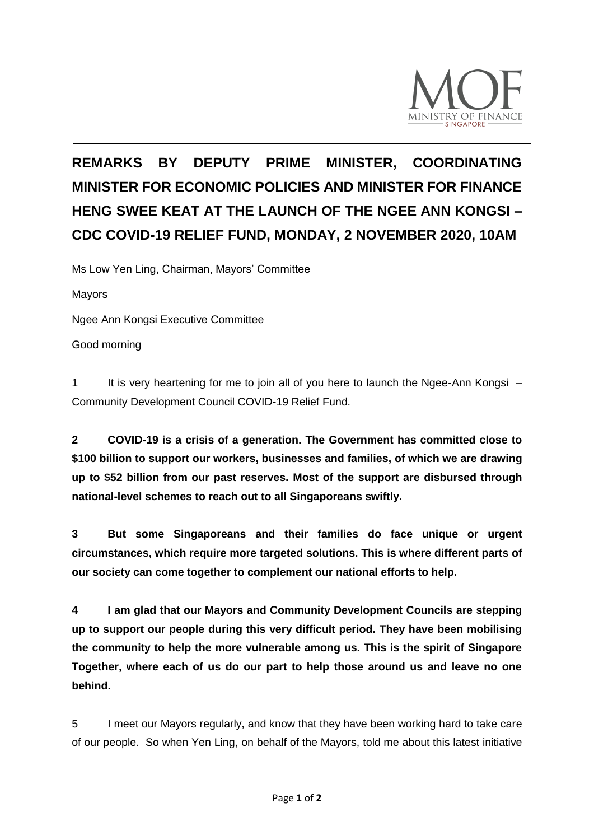

## **REMARKS BY DEPUTY PRIME MINISTER, COORDINATING MINISTER FOR ECONOMIC POLICIES AND MINISTER FOR FINANCE HENG SWEE KEAT AT THE LAUNCH OF THE NGEE ANN KONGSI – CDC COVID-19 RELIEF FUND, MONDAY, 2 NOVEMBER 2020, 10AM**

Ms Low Yen Ling, Chairman, Mayors' Committee

Mayors

Ngee Ann Kongsi Executive Committee

Good morning

1 It is very heartening for me to join all of you here to launch the Ngee-Ann Kongsi – Community Development Council COVID-19 Relief Fund.

**2 COVID-19 is a crisis of a generation. The Government has committed close to \$100 billion to support our workers, businesses and families, of which we are drawing up to \$52 billion from our past reserves. Most of the support are disbursed through national-level schemes to reach out to all Singaporeans swiftly.** 

**3 But some Singaporeans and their families do face unique or urgent circumstances, which require more targeted solutions. This is where different parts of our society can come together to complement our national efforts to help.** 

**4 I am glad that our Mayors and Community Development Councils are stepping up to support our people during this very difficult period. They have been mobilising the community to help the more vulnerable among us. This is the spirit of Singapore Together, where each of us do our part to help those around us and leave no one behind.** 

5 I meet our Mayors regularly, and know that they have been working hard to take care of our people. So when Yen Ling, on behalf of the Mayors, told me about this latest initiative